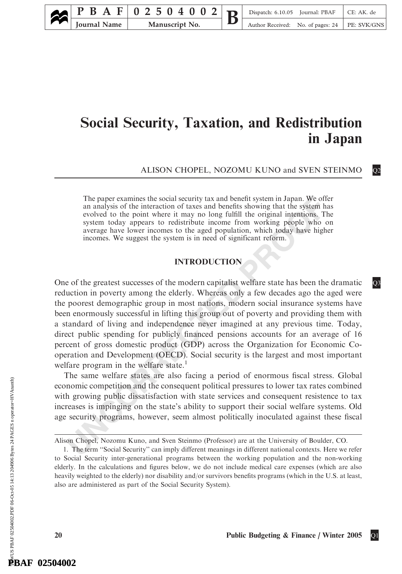$Q<sub>2</sub>$ 

Q3

# Social Security, Taxation, and Redistribution in Japan

ALISON CHOPEL, NOZOMU KUNO and SVEN STEINMO

The paper examines the social security tax and benefit system in Japan. We offer an analysis of the interaction of taxes and benefits showing that the system has evolved to the point where it may no long fulfill the original intentions. The system today appears to redistribute income from working people who on average have lower incomes to the aged population, which today have higher incomes. We suggest the system is in need of significant reform.

## INTRODUCTION

The paper examines the social security tax and benefit system in Japan. We offit a<br>an analysis of the interaction of taxes and benefits showing that the system has<br>evolved to the point where it may no long fulfill the orig One of the greatest successes of the modern capitalist welfare state has been the dramatic reduction in poverty among the elderly. Whereas only a few decades ago the aged were the poorest demographic group in most nations, modern social insurance systems have been enormously successful in lifting this group out of poverty and providing them with a standard of living and independence never imagined at any previous time. Today, direct public spending for publicly financed pensions accounts for an average of 16 percent of gross domestic product (GDP) across the Organization for Economic Cooperation and Development (OECD). Social security is the largest and most important welfare program in the welfare state.<sup>1</sup>

The same welfare states are also facing a period of enormous fiscal stress. Global economic competition and the consequent political pressures to lower tax rates combined with growing public dissatisfaction with state services and consequent resistence to tax increases is impinging on the state's ability to support their social welfare systems. Old age security programs, however, seem almost politically inoculated against these fiscal France Seconds with g<br>
Personal with g<br>
increase age se<br>
age se<br>
age se<br>
Alison<br>
1. T<br>
to Soci-<br>
elderly.<br>
heavily<br>
also are<br>  $\frac{1}{2}$ <br>
20<br> **PBAF 02504002** 

Alison Chopel, Nozomu Kuno, and Sven Steinmo (Professor) are at the University of Boulder, CO.

<sup>1.</sup> The term ''Social Security'' can imply different meanings in different national contexts. Here we refer to Social Security inter-generational programs between the working population and the non-working elderly. In the calculations and figures below, we do not include medical care expenses (which are also heavily weighted to the elderly) nor disability and/or survivors benefits programs (which in the U.S. at least, also are administered as part of the Social Security System).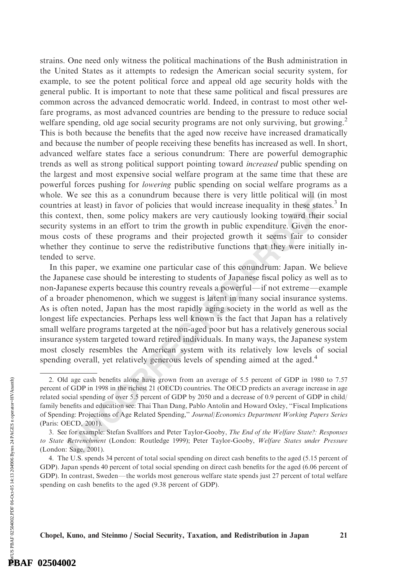strains. One need only witness the political machinations of the Bush administration in the United States as it attempts to redesign the American social security system, for example, to see the potent political force and appeal old age security holds with the general public. It is important to note that these same political and fiscal pressures are common across the advanced democratic world. Indeed, in contrast to most other welfare programs, as most advanced countries are bending to the pressure to reduce social welfare spending, old age social security programs are not only surviving, but growing.<sup>2</sup> This is both because the benefits that the aged now receive have increased dramatically and because the number of people receiving these benefits has increased as well. In short, advanced welfare states face a serious conundrum: There are powerful demographic trends as well as strong political support pointing toward increased public spending on the largest and most expensive social welfare program at the same time that these are powerful forces pushing for lowering public spending on social welfare programs as a whole. We see this as a conundrum because there is very little political will (in most countries at least) in favor of policies that would increase inequality in these states.<sup>3</sup> In this context, then, some policy makers are very cautiously looking toward their social security systems in an effort to trim the growth in public expenditure. Given the enormous costs of these programs and their projected growth it seems fair to consider whether they continue to serve the redistributive functions that they were initially intended to serve.

We see this as a communit mectative that is very interpollicant win (iii)<br>to see that see that so the state and the report of the state states at teast) in favor of policies that would increase inequality in these states.<br> In this paper, we examine one particular case of this conundrum: Japan. We believe the Japanese case should be interesting to students of Japanese fiscal policy as well as to non-Japanese experts because this country reveals a powerful—if not extreme—example of a broader phenomenon, which we suggest is latent in many social insurance systems. As is often noted, Japan has the most rapidly aging society in the world as well as the longest life expectancies. Perhaps less well known is the fact that Japan has a relatively small welfare programs targeted at the non-aged poor but has a relatively generous social insurance system targeted toward retired individuals. In many ways, the Japanese system most closely resembles the American system with its relatively low levels of social spending overall, yet relatively generous levels of spending aimed at the aged.<sup>4</sup>

<sup>2.</sup> Old age cash benefits alone have grown from an average of 5.5 percent of GDP in 1980 to 7.57 percent of GDP in 1998 in the richest 21 (OECD) countries. The OECD predicts an average increase in age related social spending of over 5.5 percent of GDP by 2050 and a decrease of 0.9 percent of GDP in child/ family benefits and education see: Thai Than Dang, Pablo Antolin and Howard Oxley, ''Fiscal Implications of Spending: Projections of Age Related Spending,'' Journal/Economics Department Working Papers Series (Paris: OECD, 2001). 2. Old ag<br>
percent of G<br>
related socia<br>
family benefic of Spending:<br>
(Paris: OEC<br>
3. See fou<br> *to State Rei*<br>
(London: Sa<br>
4. The U<br>
GDP). Japan<br>
GDP). In co<br>
spending on<br>
spending on<br>
spending on<br>  $\frac{1}{2}$ <br> **Chopel, Ku**<br>

<sup>3.</sup> See for example: Stefan Svallfors and Peter Taylor-Gooby, The End of the Welfare State?: Responses to State Retrenchment (London: Routledge 1999); Peter Taylor-Gooby, Welfare States under Pressure (London: Sage, 2001).

<sup>4.</sup> The U.S. spends 34 percent of total social spending on direct cash benefits to the aged (5.15 percent of GDP). Japan spends 40 percent of total social spending on direct cash benefits for the aged (6.06 percent of GDP). In contrast, Sweden—the worlds most generous welfare state spends just 27 percent of total welfare spending on cash benefits to the aged (9.38 percent of GDP).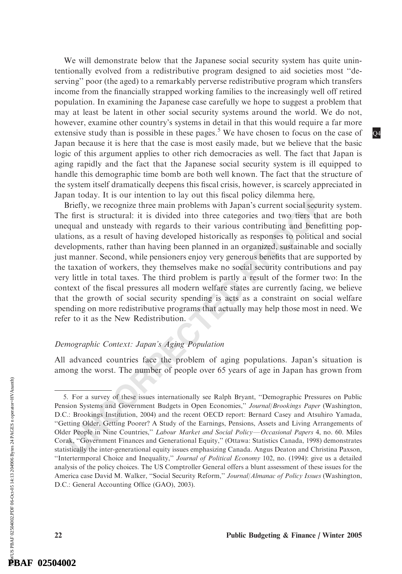We will demonstrate below that the Japanese social security system has quite unintentionally evolved from a redistributive program designed to aid societies most ''deserving'' poor (the aged) to a remarkably perverse redistributive program which transfers income from the financially strapped working families to the increasingly well off retired population. In examining the Japanese case carefully we hope to suggest a problem that may at least be latent in other social security systems around the world. We do not, however, examine other country's systems in detail in that this would require a far more extensive study than is possible in these pages.<sup>5</sup> We have chosen to focus on the case of Japan because it is here that the case is most easily made, but we believe that the basic logic of this argument applies to other rich democracies as well. The fact that Japan is aging rapidly and the fact that the Japanese social security system is ill equipped to handle this demographic time bomb are both well known. The fact that the structure of the system itself dramatically deepens this fiscal crisis, however, is scarcely appreciated in Japan today. It is our intention to lay out this fiscal policy dilemma here.

and today. It is our linetinot to tay out this listed point in the steal point<br>Briefly, we recognize three main problems with Japan's external scelent<br>first is structural: it is divided into three categories and two tiers Briefly, we recognize three main problems with Japan's current social security system. The first is structural: it is divided into three categories and two tiers that are both unequal and unsteady with regards to their various contributing and benefitting populations, as a result of having developed historically as responses to political and social developments, rather than having been planned in an organized, sustainable and socially just manner. Second, while pensioners enjoy very generous benefits that are supported by the taxation of workers, they themselves make no social security contributions and pay very little in total taxes. The third problem is partly a result of the former two: In the context of the fiscal pressures all modern welfare states are currently facing, we believe that the growth of social security spending is acts as a constraint on social welfare spending on more redistributive programs that actually may help those most in need. We refer to it as the New Redistribution.

# Demographic Context: Japan's Aging Population

All advanced countries face the problem of aging populations. Japan's situation is among the worst. The number of people over 65 years of age in Japan has grown from

<sup>5.</sup> For a survey of these issues internationally see Ralph Bryant, ''Demographic Pressures on Public Pension Systems and Government Budgets in Open Economies," Journal/Brookings Paper (Washington, D.C.: Brookings Institution, 2004) and the recent OECD report: Bernard Casey and Atsuhiro Yamada, ''Getting Older, Getting Poorer? A Study of the Earnings, Pensions, Assets and Living Arrangements of Older People in Nine Countries," Labour Market and Social Policy—Occasional Papers 4, no. 60. Miles Corak, ''Government Finances and Generational Equity,'' (Ottawa: Statistics Canada, 1998) demonstrates statistically the inter-generational equity issues emphasizing Canada. Angus Deaton and Christina Paxson, ''Intertermporal Choice and Inequality,'' Journal of Political Economy 102, no. (1994): give us a detailed analysis of the policy choices. The US Comptroller General offers a blunt assessment of these issues for the America case David M. Walker, "Social Security Reform," Journal/Almanac of Policy Issues (Washington, D.C.: General Accounting Office (GAO), 2003). France Corresponding to the sension of the SER Pension<br>
PERSIDE CORRESPOND:<br>
Corresponding to the Server of Server Corresponding to the Server of the Server of the Server of the Server of the Server of the Server of the Se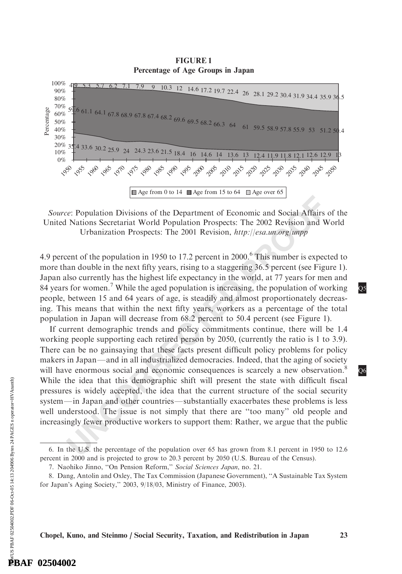FIGURE 1 Percentage of Age Groups in Japan



Source: Population Divisions of the Department of Economic and Social Affairs of the United Nations Secretariat World Population Prospects: The 2002 Revision and World Urbanization Prospects: The 2001 Revision, http://esa.un.org/unpp

4.9 percent of the population in 1950 to 17.2 percent in 2000.<sup>6</sup> This number is expected to more than double in the next fifty years, rising to a staggering 36.5 percent (see Figure 1). Japan also currently has the highest life expectancy in the world, at 77 years for men and 84 years for women.<sup>7</sup> While the aged population is increasing, the population of working people, between 15 and 64 years of age, is steadily and almost proportionately decreasing. This means that within the next fifty years, workers as a percentage of the total population in Japan will decrease from 68.2 percent to 50.4 percent (see Figure 1).

**Example 18 To 19 To 19 To 19 To 19 To 19 To 19 To 19 To 19 To 19 To 19 To 19 To 19 To 19 To 19 To 19 To 19 To 19 To 19 To 19 To 19 To 19 To 19 To 19 To 19 To 19 To 19 To 19 To 19 To 19 To 19 To 19 To 19 To 19 To 19 To 19** If current demographic trends and policy commitments continue, there will be 1.4 working people supporting each retired person by 2050, (currently the ratio is 1 to 3.9). There can be no gainsaying that these facts present difficult policy problems for policy makers in Japan—and in all industrialized democracies. Indeed, that the aging of society will have enormous social and economic consequences is scarcely a new observation.<sup>8</sup> While the idea that this demographic shift will present the state with difficult fiscal pressures is widely accepted, the idea that the current structure of the social security system—in Japan and other countries—substantially exacerbates these problems is less well understood. The issue is not simply that there are ''too many'' old people and increasingly fewer productive workers to support them: Rather, we argue that the public While the<br>
pressures i<br>
system—in<br>
well under<br>
increasing<br>
increasing<br>
increasing<br>
increasing<br>
increasing<br>
increasing<br>
for Japan's<br>
8. Dang,<br>
for Japan's<br>
2<br>
Serves 2<br>
2<br> **Chopel, Ku<br>
EBAF 02504002** 

Q5

<sup>6.</sup> In the U.S. the percentage of the population over 65 has grown from 8.1 percent in 1950 to 12.6 percent in 2000 and is projected to grow to 20.3 percent by 2050 (U.S. Bureau of the Census).

<sup>7.</sup> Naohiko Jinno, ''On Pension Reform,'' Social Sciences Japan, no. 21.

<sup>8.</sup> Dang, Antolin and Oxley, The Tax Commission (Japanese Government), ''A Sustainable Tax System for Japan's Aging Society,'' 2003, 9/18/03, Ministry of Finance, 2003).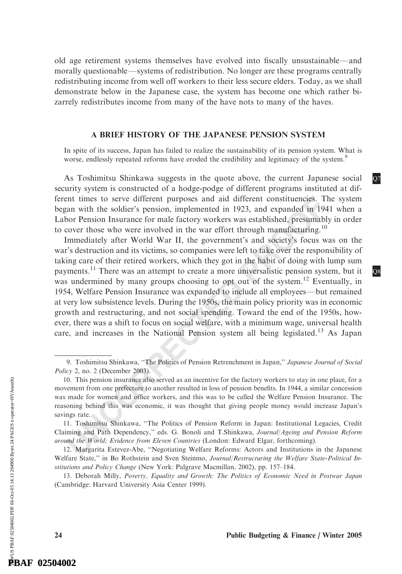old age retirement systems themselves have evolved into fiscally unsustainable—and morally questionable—systems of redistribution. No longer are these programs centrally redistributing income from well off workers to their less secure elders. Today, as we shall demonstrate below in the Japanese case, the system has become one which rather bizarrely redistributes income from many of the have nots to many of the haves.

#### A BRIEF HISTORY OF THE JAPANESE PENSION SYSTEM

In spite of its success, Japan has failed to realize the sustainability of its pension system. What is worse, endlessly repeated reforms have eroded the credibility and legitimacy of the system.<sup>9</sup>

As Toshimitsu Shinkawa suggests in the quote above, the current Japanese social security system is constructed of a hodge-podge of different programs instituted at different times to serve different purposes and aid different constituencies. The system began with the soldier's pension, implemented in 1923, and expanded in 1941 when a Labor Pension Insurance for male factory workers was established, presumably in order to cover those who were involved in the war effort through manufacturing.<sup>10</sup>

nn with the solder's pension, implemented in 1923, and expanding the mann with the solder's pension Insurance for male factory workers was established, presumabl<br>cover Pension Insurance for male factory workers was establi Immediately after World War II, the government's and society's focus was on the war's destruction and its victims, so companies were left to take over the responsibility of taking care of their retired workers, which they got in the habit of doing with lump sum payments.<sup>11</sup> There was an attempt to create a more universalistic pension system, but it was undermined by many groups choosing to opt out of the system.<sup>12</sup> Eventually, in 1954, Welfare Pension Insurance was expanded to include all employees—but remained at very low subsistence levels. During the 1950s, the main policy priority was in economic growth and restructuring, and not social spending. Toward the end of the 1950s, however, there was a shift to focus on social welfare, with a minimum wage, universal health care, and increases in the National Pension system all being legislated.<sup>13</sup> As Japan

<sup>9.</sup> Toshimitsu Shinkawa, "The Politics of Pension Retrenchment in Japan," Japanese Journal of Social Policy 2, no. 2 (December 2003).

<sup>10.</sup> This pension insurance also served as an incentive for the factory workers to stay in one place, for a movement from one prefecture to another resulted in loss of pension benefits. In 1944, a similar concession was made for women and office workers, and this was to be called the Welfare Pension Insurance. The reasoning behind this was economic, it was thought that giving people money would increase Japan's savings rate. France Contract Contract Contract Contract Contract Contract Contract Contract Contract Contract Contract Contract Contract Contract Contract Contract Contract Contract Contract Contract Contract Contract Contract Contract

<sup>11.</sup> Toshimitsu Shinkawa, ''The Politics of Pension Reform in Japan: Institutional Legacies, Credit Claiming and Path Dependency,'' eds. G. Bonoli and T.Shinkawa, Journal/Ageing and Pension Reform around the World; Evidence from Eleven Countries (London: Edward Elgar, forthcoming).

<sup>12.</sup> Margarita Estevez-Abe, ''Negotiating Welfare Reforms: Actors and Institutions in the Japanese Welfare State," in Bo Rothstein and Sven Steinmo, Journal/Restructuring the Welfare State-Political Institutions and Policy Change (New York: Palgrave Macmillan, 2002), pp. 157–184.

<sup>13.</sup> Deborah Milly, Poverty, Equality and Growth: The Politics of Economic Need in Postwar Japan (Cambridge: Harvard University Asia Center 1999).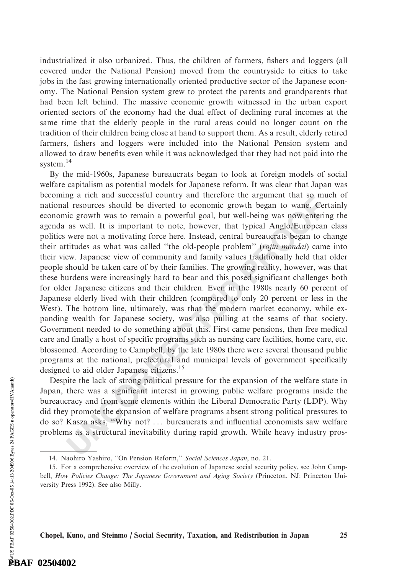industrialized it also urbanized. Thus, the children of farmers, fishers and loggers (all covered under the National Pension) moved from the countryside to cities to take jobs in the fast growing internationally oriented productive sector of the Japanese economy. The National Pension system grew to protect the parents and grandparents that had been left behind. The massive economic growth witnessed in the urban export oriented sectors of the economy had the dual effect of declining rural incomes at the same time that the elderly people in the rural areas could no longer count on the tradition of their children being close at hand to support them. As a result, elderly retired farmers, fishers and loggers were included into the National Pension system and allowed to draw benefits even while it was acknowledged that they had not paid into the system.<sup>14</sup>

In a succession country and uncerclore in a graduant intat so multare and the and success should be diverted to economic growth began to wane. Certic growth was to remain a powerful goal, but well-being was now enterinc as By the mid-1960s, Japanese bureaucrats began to look at foreign models of social welfare capitalism as potential models for Japanese reform. It was clear that Japan was becoming a rich and successful country and therefore the argument that so much of national resources should be diverted to economic growth began to wane. Certainly economic growth was to remain a powerful goal, but well-being was now entering the agenda as well. It is important to note, however, that typical Anglo/European class politics were not a motivating force here. Instead, central bureaucrats began to change their attitudes as what was called "the old-people problem" *(rojin mondai)* came into their view. Japanese view of community and family values traditionally held that older people should be taken care of by their families. The growing reality, however, was that these burdens were increasingly hard to bear and this posed significant challenges both for older Japanese citizens and their children. Even in the 1980s nearly 60 percent of Japanese elderly lived with their children (compared to only 20 percent or less in the West). The bottom line, ultimately, was that the modern market economy, while expanding wealth for Japanese society, was also pulling at the seams of that society. Government needed to do something about this. First came pensions, then free medical care and finally a host of specific programs such as nursing care facilities, home care, etc. blossomed. According to Campbell, by the late 1980s there were several thousand public programs at the national, prefectural and municipal levels of government specifically designed to aid older Japanese citizens.<sup>15</sup>

Despite the lack of strong political pressure for the expansion of the welfare state in Japan, there was a significant interest in growing public welfare programs inside the bureaucracy and from some elements within the Liberal Democratic Party (LDP). Why did they promote the expansion of welfare programs absent strong political pressures to do so? Kasza asks, ''Why not? . . . bureaucrats and influential economists saw welfare problems as a structural inevitability during rapid growth. While heavy industry pros-**PERAF 02504002**<br> **PERAF 02504002**<br> **PERAF 02504002** 

Chopel, Kuno, and Steinmo / Social Security, Taxation, and Redistribution in Japan 25

<sup>14.</sup> Naohiro Yashiro, ''On Pension Reform,'' Social Sciences Japan, no. 21.

<sup>15.</sup> For a comprehensive overview of the evolution of Japanese social security policy, see John Campbell, How Policies Change: The Japanese Government and Aging Society (Princeton, NJ: Princeton University Press 1992). See also Milly.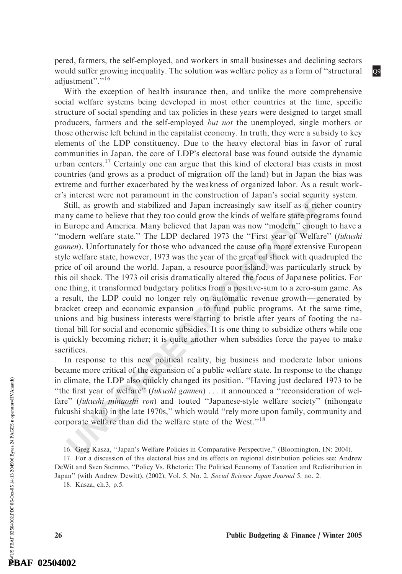pered, farmers, the self-employed, and workers in small businesses and declining sectors would suffer growing inequality. The solution was welfare policy as a form of ''structural adjustment"."<sup>16</sup>

With the exception of health insurance then, and unlike the more comprehensive social welfare systems being developed in most other countries at the time, specific structure of social spending and tax policies in these years were designed to target small producers, farmers and the self-employed but not the unemployed, single mothers or those otherwise left behind in the capitalist economy. In truth, they were a subsidy to key elements of the LDP constituency. Due to the heavy electoral bias in favor of rural communities in Japan, the core of LDP's electoral base was found outside the dynamic urban centers.<sup>17</sup> Certainly one can argue that this kind of electoral bias exists in most countries (and grows as a product of migration off the land) but in Japan the bias was extreme and further exacerbated by the weakness of organized labor. As a result worker's interest were not paramount in the construction of Japan's social security system.

metest ween for paramount in the construction of *xapara* is social security, as growth and stabilized and Japan increasingly saw itself as a richeny came to believe that they too could grow the kinds of welfare state prog Still, as growth and stabilized and Japan increasingly saw itself as a richer country many came to believe that they too could grow the kinds of welfare state programs found in Europe and America. Many believed that Japan was now ''modern'' enough to have a "modern welfare state." The LDP declared 1973 the "First year of Welfare" (fukushi gannen). Unfortunately for those who advanced the cause of a more extensive European style welfare state, however, 1973 was the year of the great oil shock with quadrupled the price of oil around the world. Japan, a resource poor island, was particularly struck by this oil shock. The 1973 oil crisis dramatically altered the focus of Japanese politics. For one thing, it transformed budgetary politics from a positive-sum to a zero-sum game. As a result, the LDP could no longer rely on automatic revenue growth—generated by bracket creep and economic expansion—to fund public programs. At the same time, unions and big business interests were starting to bristle after years of footing the national bill for social and economic subsidies. It is one thing to subsidize others while one is quickly becoming richer; it is quite another when subsidies force the payee to make sacrifices.

In response to this new political reality, big business and moderate labor unions became more critical of the expansion of a public welfare state. In response to the change in climate, the LDP also quickly changed its position. ''Having just declared 1973 to be "the first year of welfare" (fukushi gannen) ... it announced a "reconsideration of welfare" (fukushi minaoshi ron) and touted "Japanese-style welfare society" (nihongate fukushi shakai) in the late 1970s,'' which would ''rely more upon family, community and corporate welfare than did the welfare state of the West.''<sup>18</sup> France SHT (Process)<br>
PBAF 02504002<br>
PBAF 02504002.<br>
PEBAF 02504002.

<sup>16.</sup> Greg Kasza, ''Japan's Welfare Policies in Comparative Perspective,'' (Bloomington, IN: 2004).

<sup>17.</sup> For a discussion of this electoral bias and its effects on regional distribution policies see: Andrew DeWit and Sven Steinmo, ''Policy Vs. Rhetoric: The Political Economy of Taxation and Redistribution in Japan" (with Andrew Dewitt), (2002), Vol. 5, No. 2. Social Science Japan Journal 5, no. 2.

<sup>18.</sup> Kasza, ch.3, p.5.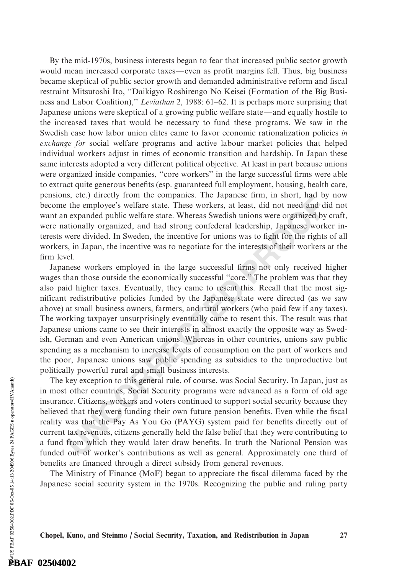By the mid-1970s, business interests began to fear that increased public sector growth would mean increased corporate taxes—even as profit margins fell. Thus, big business became skeptical of public sector growth and demanded administrative reform and fiscal restraint Mitsutoshi Ito, ''Daikigyo Roshirengo No Keisei (Formation of the Big Business and Labor Coalition)," Leviathan 2, 1988: 61–62. It is perhaps more surprising that Japanese unions were skeptical of a growing public welfare state—and equally hostile to the increased taxes that would be necessary to fund these programs. We saw in the Swedish case how labor union elites came to favor economic rationalization policies in exchange for social welfare programs and active labour market policies that helped individual workers adjust in times of economic transition and hardship. In Japan these same interests adopted a very different political objective. At least in part because unions were organized inside companies, ''core workers'' in the large successful firms were able to extract quite generous benefits (esp. guaranteed full employment, housing, health care, pensions, etc.) directly from the companies. The Japanese firm, in short, had by now become the employee's welfare state. These workers, at least, did not need and did not want an expanded public welfare state. Whereas Swedish unions were organized by craft, were nationally organized, and had strong confederal leadership, Japanese worker interests were divided. In Sweden, the incentive for unions was to fight for the rights of all workers, in Japan, the incentive was to negotiate for the interests of their workers at the firm level.

is, e.e.; unceruy from the compannes. In a paralises than, in short, that osynces, the employee's welfare state. These workers, at least, did not need and diexpanded public welfare state. These workers, at least, did not n Japanese workers employed in the large successful firms not only received higher wages than those outside the economically successful ''core.'' The problem was that they also paid higher taxes. Eventually, they came to resent this. Recall that the most significant redistributive policies funded by the Japanese state were directed (as we saw above) at small business owners, farmers, and rural workers (who paid few if any taxes). The working taxpayer unsurprisingly eventually came to resent this. The result was that Japanese unions came to see their interests in almost exactly the opposite way as Swedish, German and even American unions. Whereas in other countries, unions saw public spending as a mechanism to increase levels of consumption on the part of workers and the poor, Japanese unions saw public spending as subsidies to the unproductive but politically powerful rural and small business interests.

The key exception to this general rule, of course, was Social Security. In Japan, just as in most other countries, Social Security programs were advanced as a form of old age insurance. Citizens, workers and voters continued to support social security because they believed that they were funding their own future pension benefits. Even while the fiscal reality was that the Pay As You Go (PAYG) system paid for benefits directly out of current tax revenues, citizens generally held the false belief that they were contributing to a fund from which they would later draw benefits. In truth the National Pension was funded out of worker's contributions as well as general. Approximately one third of benefits are financed through a direct subsidy from general revenues. The key<br>
in most of<br>
insurance.<br>
believed the<br>
reality was<br>
current tay<br>
a fund fro<br>
funded ou<br>
benefits ar<br>
The Mi<br>
Japanese s<br>
space<br>
space of the Mi<br>
Dapanese s<br>
Chopel, Ku<br> **EBAF 02504002** 

The Ministry of Finance (MoF) began to appreciate the fiscal dilemma faced by the Japanese social security system in the 1970s. Recognizing the public and ruling party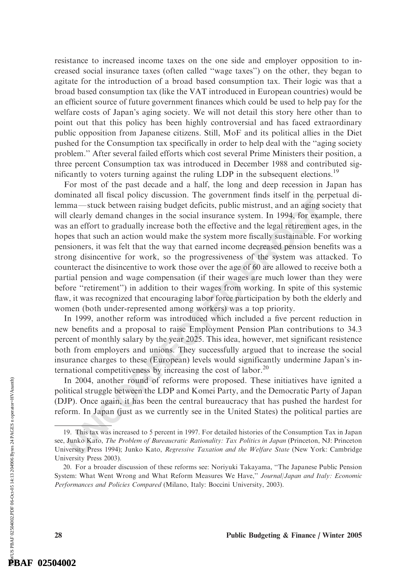resistance to increased income taxes on the one side and employer opposition to increased social insurance taxes (often called ''wage taxes'') on the other, they began to agitate for the introduction of a broad based consumption tax. Their logic was that a broad based consumption tax (like the VAT introduced in European countries) would be an efficient source of future government finances which could be used to help pay for the welfare costs of Japan's aging society. We will not detail this story here other than to point out that this policy has been highly controversial and has faced extraordinary public opposition from Japanese citizens. Still, MoF and its political allies in the Diet pushed for the Consumption tax specifically in order to help deal with the ''aging society problem.'' After several failed efforts which cost several Prime Ministers their position, a three percent Consumption tax was introduced in December 1988 and contributed significantly to voters turning against the ruling LDP in the subsequent elections.<sup>19</sup>

Imated an Inscal pointy discussion. The goveniment imas itsen in the pertiment<br>ma——stuck between raising budget deficits, public mistrust, and an aging sc<br>learly demand changes in the social insurance system. In 1994, for For most of the past decade and a half, the long and deep recession in Japan has dominated all fiscal policy discussion. The government finds itself in the perpetual dilemma—stuck between raising budget deficits, public mistrust, and an aging society that will clearly demand changes in the social insurance system. In 1994, for example, there was an effort to gradually increase both the effective and the legal retirement ages, in the hopes that such an action would make the system more fiscally sustainable. For working pensioners, it was felt that the way that earned income decreased pension benefits was a strong disincentive for work, so the progressiveness of the system was attacked. To counteract the disincentive to work those over the age of 60 are allowed to receive both a partial pension and wage compensation (if their wages are much lower than they were before ''retirement'') in addition to their wages from working. In spite of this systemic flaw, it was recognized that encouraging labor force participation by both the elderly and women (both under-represented among workers) was a top priority.

In 1999, another reform was introduced which included a five percent reduction in new benefits and a proposal to raise Employment Pension Plan contributions to 34.3 percent of monthly salary by the year 2025. This idea, however, met significant resistence both from employers and unions. They successfully argued that to increase the social insurance charges to these (European) levels would significantly undermine Japan's international competitiveness by increasing the cost of labor.<sup>20</sup>

In 2004, another round of reforms were proposed. These initiatives have ignited a political struggle between the LDP and Komei Party, and the Democratic Party of Japan (DJP). Once again, it has been the central bureaucracy that has pushed the hardest for reform. In Japan (just as we currently see in the United States) the political parties are

<sup>19.</sup> This tax was increased to 5 percent in 1997. For detailed histories of the Consumption Tax in Japan see, Junko Kato, The Problem of Bureaucratic Rationality: Tax Politics in Japan (Princeton, NJ: Princeton University Press 1994); Junko Kato, Regressive Taxation and the Welfare State (New York: Cambridge University Press 2003).

<sup>20.</sup> For a broader discussion of these reforms see: Noriyuki Takayama, ''The Japanese Public Pension System: What Went Wrong and What Reform Measures We Have," Journal/Japan and Italy: Economic Performances and Policies Compared (Milano, Italy: Boccini University, 2003).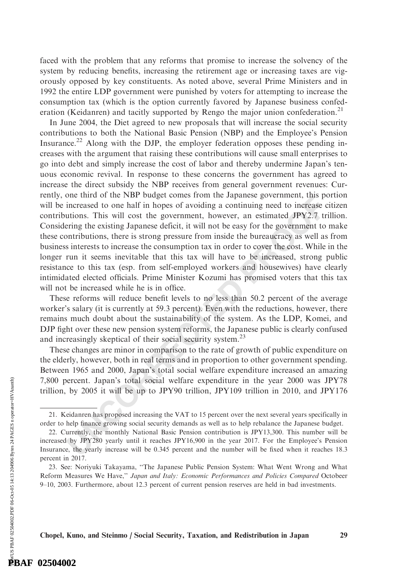faced with the problem that any reforms that promise to increase the solvency of the system by reducing benefits, increasing the retirement age or increasing taxes are vigorously opposed by key constituents. As noted above, several Prime Ministers and in 1992 the entire LDP government were punished by voters for attempting to increase the consumption tax (which is the option currently favored by Japanese business confederation (Keidanren) and tacitly supported by Rengo the major union confederation.<sup>21</sup>

one min or in the risp outget comiss notion the spanses government, in spanses to one half in hopes of avoiding a continuing need to increase common through ten actions. This will cost the government, however, an estimated In June 2004, the Diet agreed to new proposals that will increase the social security contributions to both the National Basic Pension (NBP) and the Employee's Pension Insurance.<sup>22</sup> Along with the DJP, the employer federation opposes these pending increases with the argument that raising these contributions will cause small enterprises to go into debt and simply increase the cost of labor and thereby undermine Japan's tenuous economic revival. In response to these concerns the government has agreed to increase the direct subsidy the NBP receives from general government revenues: Currently, one third of the NBP budget comes from the Japanese government, this portion will be increased to one half in hopes of avoiding a continuing need to increase citizen contributions. This will cost the government, however, an estimated JPY2.7 trillion. Considering the existing Japanese deficit, it will not be easy for the government to make these contributions, there is strong pressure from inside the bureaucracy as well as from business interests to increase the consumption tax in order to cover the cost. While in the longer run it seems inevitable that this tax will have to be increased, strong public resistance to this tax (esp. from self-employed workers and housewives) have clearly intimidated elected officials. Prime Minister Kozumi has promised voters that this tax will not be increased while he is in office.

These reforms will reduce benefit levels to no less than 50.2 percent of the average worker's salary (it is currently at 59.3 percent). Even with the reductions, however, there remains much doubt about the sustainability of the system. As the LDP, Komei, and DJP fight over these new pension system reforms, the Japanese public is clearly confused and increasingly skeptical of their social security system.<sup>23</sup>

These changes are minor in comparison to the rate of growth of public expenditure on the elderly, however, both in real terms and in proportion to other government spending. Between 1965 and 2000, Japan's total social welfare expenditure increased an amazing 7,800 percent. Japan's total social welfare expenditure in the year 2000 was JPY78 trillion, by 2005 it will be up to JPY90 trillion, JPY109 trillion in 2010, and JPY176

<sup>21.</sup> Keidanren has proposed increasing the VAT to 15 percent over the next several years specifically in order to help finance growing social security demands as well as to help rebalance the Japanese budget.

<sup>22.</sup> Currently, the monthly National Basic Pension contribution is JPY13,300. This number will be increased by JPY280 yearly until it reaches JPY16,900 in the year 2017. For the Employee's Pension Insurance, the yearly increase will be 0.345 percent and the number will be fixed when it reaches 18.3 percent in 2017.

<sup>23.</sup> See: Noriyuki Takayama, ''The Japanese Public Pension System: What Went Wrong and What Reform Measures We Have," Japan and Italy: Economic Performances and Policies Compared Octobeer 9–10, 2003. Furthermore, about 12.3 percent of current pension reserves are held in bad investments.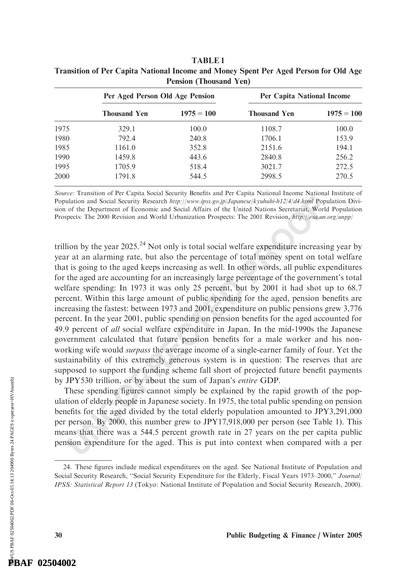|      | Per Aged Person Old Age Pension |              | <b>Per Capita National Income</b> |              |  |
|------|---------------------------------|--------------|-----------------------------------|--------------|--|
|      | <b>Thousand Yen</b>             | $1975 = 100$ | <b>Thousand Yen</b>               | $1975 = 100$ |  |
| 1975 | 329.1                           | 100.0        | 1108.7                            | 100.0        |  |
| 1980 | 792.4                           | 240.8        | 1706.1                            | 153.9        |  |
| 1985 | 1161.0                          | 352.8        | 2151.6                            | 194.1        |  |
| 1990 | 1459.8                          | 443.6        | 2840.8                            | 256.2        |  |
| 1995 | 1705.9                          | 518.4        | 3021.7                            | 272.5        |  |
| 2000 | 1791.8                          | 544.5        | 2998.5                            | 270.5        |  |

| <b>TABLE1</b>                                                                        |
|--------------------------------------------------------------------------------------|
| Transition of Per Capita National Income and Money Spent Per Aged Person for Old Age |
| <b>Pension (Thousand Yen)</b>                                                        |

Source: Transition of Per Capita Social Security Benefits and Per Capita National Income National Institute of Population and Social Security Research http://www.ipss.go.jp/Japanese/kyuhuhi-h12/4/d4.html Population Division of the Department of Economic and Social Affairs of the United Nations Secretariat, World Population Prospects: The 2000 Revision and World Urbanization Prospects: The 2001 Revision, http://esa.un.org/unpp/

**Example 20**<br> **Uniformal Social Security Research harry** jouncation and Social Security Research harry) jouncations and Social Affairs of the United Nations Secretarial, Worker<br>
of the Department of Economic and Social Aff trillion by the year  $2025<sup>24</sup>$  Not only is total social welfare expenditure increasing year by year at an alarming rate, but also the percentage of total money spent on total welfare that is going to the aged keeps increasing as well. In other words, all public expenditures for the aged are accounting for an increasingly large percentage of the government's total welfare spending: In 1973 it was only 25 percent, but by 2001 it had shot up to 68.7 percent. Within this large amount of public spending for the aged, pension benefits are increasing the fastest: between 1973 and 2001, expenditure on public pensions grew 3,776 percent. In the year 2001, public spending on pension benefits for the aged accounted for 49.9 percent of *all* social welfare expenditure in Japan. In the mid-1990s the Japanese government calculated that future pension benefits for a male worker and his nonworking wife would *surpass* the average income of a single-earner family of four. Yet the sustainability of this extremely generous system is in question: The reserves that are supposed to support the funding scheme fall short of projected future benefit payments by JPY530 trillion, or by about the sum of Japan's entire GDP.

These spending figures cannot simply be explained by the rapid growth of the population of elderly people in Japanese society. In 1975, the total public spending on pension benefits for the aged divided by the total elderly population amounted to JPY3,291,000 per person. By 2000, this number grew to JPY17,918,000 per person (see Table 1). This means that there was a 544.5 percent growth rate in 27 years on the per capita public pension expenditure for the aged. This is put into context when compared with a per **PRAF 02504002**<br>
PRAF 02504002

<sup>24.</sup> These figures include medical expenditures on the aged. See National Institute of Population and Social Security Research, "Social Security Expenditure for the Elderly, Fiscal Years 1973–2000," Journal/ IPSS: Statistical Report 13 (Tokyo: National Institute of Population and Social Security Research, 2000).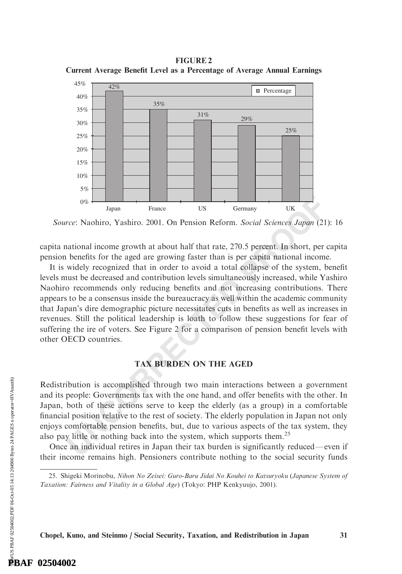FIGURE 2 Current Average Benefit Level as a Percentage of Average Annual Earnings



Source: Naohiro, Yashiro. 2001. On Pension Reform. Social Sciences Japan (21): 16

capita national income growth at about half that rate, 270.5 percent. In short, per capita pension benefits for the aged are growing faster than is per capita national income.

0%<br> **UNCORRECTE 10** UNITY THE EXECT THE CONDITION IN THE CONDITION IN THE CALC OND THE CONDITION IN THE AGED CONDUCT CONDUCT THE SAMELY CONDUCT THE UNITS OF DESCRIPTION IN THE USE OF DEVIDENCI OF DESCRIPTION OF CONDITION I It is widely recognized that in order to avoid a total collapse of the system, benefit levels must be decreased and contribution levels simultaneously increased, while Yashiro Naohiro recommends only reducing benefits and not increasing contributions. There appears to be a consensus inside the bureaucracy as well within the academic community that Japan's dire demographic picture necessitates cuts in benefits as well as increases in revenues. Still the political leadership is loath to follow these suggestions for fear of suffering the ire of voters. See Figure 2 for a comparison of pension benefit levels with other OECD countries.

## TAX BURDEN ON THE AGED

Redistribution is accomplished through two main interactions between a government and its people: Governments tax with the one hand, and offer benefits with the other. In Japan, both of these actions serve to keep the elderly (as a group) in a comfortable financial position relative to the rest of society. The elderly population in Japan not only enjoys comfortable pension benefits, but, due to various aspects of the tax system, they also pay little or nothing back into the system, which supports them.<sup>25</sup> Redistribu<br>
and its pec<br>
and its pec<br>
Japan, bo<br>
financial p<br>
enjoys con<br>
also pay li<br>
Once ar<br>
their incore<br> *Paxation: Faxation: Faxation: Faxation: Faxation: Faxation: Faxation: Faxation: Faxation: Faxation: Faxation: P* 

Once an individual retires in Japan their tax burden is significantly reduced—even if their income remains high. Pensioners contribute nothing to the social security funds

<sup>25.</sup> Shigeki Morinobu, Nihon No Zeisei: Guro-Baru Jidai No Kouhei to Katsuryoku (Japanese System of Taxation: Fairness and Vitality in a Global Age) (Tokyo: PHP Kenkyuujo, 2001).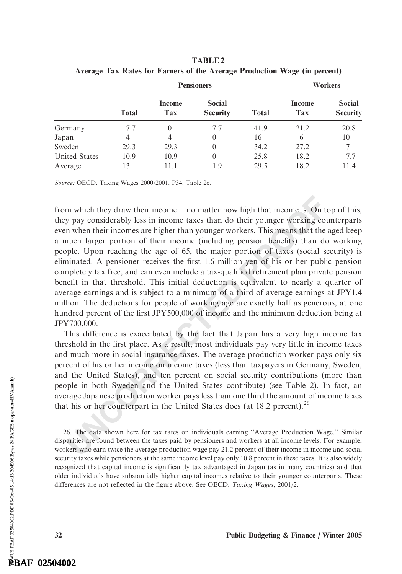|                      |              | <b>Pensioners</b>           |                                  |              | <b>Workers</b>       |                                  |
|----------------------|--------------|-----------------------------|----------------------------------|--------------|----------------------|----------------------------------|
|                      | <b>Total</b> | <b>Income</b><br><b>Tax</b> | <b>Social</b><br><b>Security</b> | <b>Total</b> | Income<br><b>Tax</b> | <b>Social</b><br><b>Security</b> |
| Germany              | 7.7          | $\theta$                    | 7.7                              | 41.9         | 21.2                 | 20.8                             |
| Japan                | 4            | 4                           | $\theta$                         | 16           | 6                    | 10                               |
| Sweden               | 29.3         | 29.3                        | $\theta$                         | 34.2         | 27.2                 |                                  |
| <b>United States</b> | 10.9         | 10.9                        | $\theta$                         | 25.8         | 18.2                 | 7.7                              |
| Average              | 13           | 11.1                        | 1.9                              | 29.5         | 18.2                 | 11.4                             |

TABLE 2 Average Tax Rates for Earners of the Average Production Wage (in percent)

Source: OECD. Taxing Wages 2000/2001. P34. Table 2c.

m which they draw their income—no matter how high that income is. On ty pay considerably less in income taxes than do their younger working con when their incomes are higher than younger workers. This means that the uuch from which they draw their income—no matter how high that income is. On top of this, they pay considerably less in income taxes than do their younger working counterparts even when their incomes are higher than younger workers. This means that the aged keep a much larger portion of their income (including pension benefits) than do working people. Upon reaching the age of 65, the major portion of taxes (social security) is eliminated. A pensioner receives the first 1.6 million yen of his or her public pension completely tax free, and can even include a tax-qualified retirement plan private pension benefit in that threshold. This initial deduction is equivalent to nearly a quarter of average earnings and is subject to a minimum of a third of average earnings at JPY1.4 million. The deductions for people of working age are exactly half as generous, at one hundred percent of the first JPY500,000 of income and the minimum deduction being at JPY700,000.

This difference is exacerbated by the fact that Japan has a very high income tax threshold in the first place. As a result, most individuals pay very little in income taxes and much more in social insurance taxes. The average production worker pays only six percent of his or her income on income taxes (less than taxpayers in Germany, Sweden, and the United States), and ten percent on social security contributions (more than people in both Sweden and the United States contribute) (see Table 2). In fact, an average Japanese production worker pays less than one third the amount of income taxes that his or her counterpart in the United States does (at  $18.2$  percent).<sup>26</sup>

<sup>26.</sup> The data shown here for tax rates on individuals earning ''Average Production Wage.'' Similar disparities are found between the taxes paid by pensioners and workers at all income levels. For example, workers who earn twice the average production wage pay 21.2 percent of their income in income and social security taxes while pensioners at the same income level pay only 10.8 percent in these taxes. It is also widely recognized that capital income is significantly tax advantaged in Japan (as in many countries) and that older individuals have substantially higher capital incomes relative to their younger counterparts. These differences are not reflected in the figure above. See OECD, Taxing Wages, 2001/2. France Server of the temperature of the temperature of the temperature of the temperature of the temperator of temperator and the temperator of the temperator of the temperator of the temperator of the temperature of the t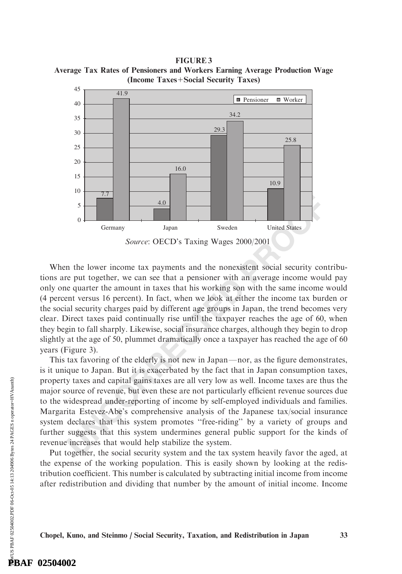FIGURE 3 Average Tax Rates of Pensioners and Workers Earning Average Production Wage (Income Taxes+Social Security Taxes)



Source: OECD's Taxing Wages 2000/2001

<sup>4,0</sup><br> **UNCORET CONFIDENT CONFIDENT** Sweden<br>
United States<br>
Source: OECD's Taxing Wages 2000/2001<br>
In the lower income tax payments and the nonexistent social security conce<br>
in the lower income tax payments and the nonexi When the lower income tax payments and the nonexistent social security contributions are put together, we can see that a pensioner with an average income would pay only one quarter the amount in taxes that his working son with the same income would (4 percent versus 16 percent). In fact, when we look at either the income tax burden or the social security charges paid by different age groups in Japan, the trend becomes very clear. Direct taxes paid continually rise until the taxpayer reaches the age of 60, when they begin to fall sharply. Likewise, social insurance charges, although they begin to drop slightly at the age of 50, plummet dramatically once a taxpayer has reached the age of 60 years (Figure 3).

This tax favoring of the elderly is not new in Japan—nor, as the figure demonstrates, is it unique to Japan. But it is exacerbated by the fact that in Japan consumption taxes, property taxes and capital gains taxes are all very low as well. Income taxes are thus the major source of revenue, but even these are not particularly efficient revenue sources due to the widespread under-reporting of income by self-employed individuals and families. Margarita Estevez-Abe's comprehensive analysis of the Japanese tax/social insurance system declares that this system promotes ''free-riding'' by a variety of groups and further suggests that this system undermines general public support for the kinds of revenue increases that would help stabilize the system. property t:<br>
major soun<br>
to the wid<br>
Margarita<br>
system de<br>
further su<br>
revenue in<br>
Put tog<br>
the expens<br>
tribution c<br>
after redis<br>
giangles<br>
system the expens<br>
tribution c<br>
after redis<br>
giangles<br> **Chopel**, **Ku**<br> **PBAF 02504** 

Put together, the social security system and the tax system heavily favor the aged, at the expense of the working population. This is easily shown by looking at the redistribution coefficient. This number is calculated by subtracting initial income from income after redistribution and dividing that number by the amount of initial income. Income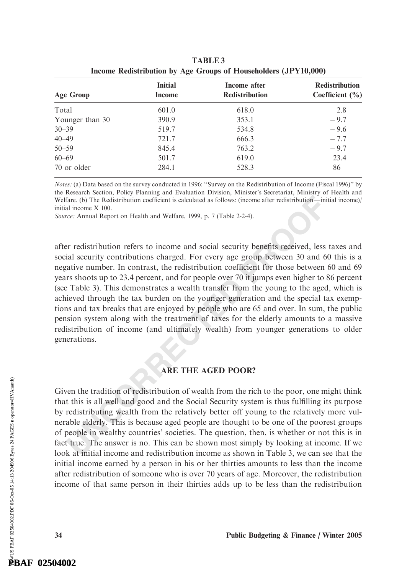| Age Group       | <b>Initial</b><br><b>Income</b> | Income after<br><b>Redistribution</b> | <b>Redistribution</b><br>Coefficient $(\% )$ |  |
|-----------------|---------------------------------|---------------------------------------|----------------------------------------------|--|
| Total           | 601.0                           | 618.0                                 | 2.8                                          |  |
| Younger than 30 | 390.9                           | 353.1                                 | $-9.7$                                       |  |
| $30 - 39$       | 519.7                           | 534.8                                 | $-9.6$                                       |  |
| $40 - 49$       | 721.7                           | 666.3                                 | $-7.7$                                       |  |
| $50 - 59$       | 845.4                           | 763.2                                 | $-9.7$                                       |  |
| $60 - 69$       | 501.7                           | 619.0                                 | 23.4                                         |  |
| 70 or older     | 284.1                           | 528.3                                 | 86                                           |  |

TABLE 3 Income Redistribution by Age Groups of Householders (JPY10,000)

Notes: (a) Data based on the survey conducted in 1996: ''Survey on the Redistribution of Income (Fiscal 1996)'' by the Research Section, Policy Planning and Evaluation Division, Minister's Secretariat, Ministry of Health and Welfare. (b) The Redistribution coefficient is calculated as follows: (income after redistribution—initial income)/ initial income X 100.

Source: Annual Report on Health and Welfare, 1999, p. 7 (Table 2-2-4).

Fare. (b) The Redistribution coefficient is calculated as follows: (income after redistribution  $\frac{1}{10}$  in lineme X 100.<br>
In income X 100.<br>
The case X mmall Report on Health and Welfare, 1999, p. 7 (Table 2-2-4).<br>
In th after redistribution refers to income and social security benefits received, less taxes and social security contributions charged. For every age group between 30 and 60 this is a negative number. In contrast, the redistribution coefficient for those between 60 and 69 years shoots up to 23.4 percent, and for people over 70 it jumps even higher to 86 percent (see Table 3). This demonstrates a wealth transfer from the young to the aged, which is achieved through the tax burden on the younger generation and the special tax exemptions and tax breaks that are enjoyed by people who are 65 and over. In sum, the public pension system along with the treatment of taxes for the elderly amounts to a massive redistribution of income (and ultimately wealth) from younger generations to older generations.

### ARE THE AGED POOR?

Given the tradition of redistribution of wealth from the rich to the poor, one might think that this is all well and good and the Social Security system is thus fulfilling its purpose by redistributing wealth from the relatively better off young to the relatively more vulnerable elderly. This is because aged people are thought to be one of the poorest groups of people in wealthy countries' societies. The question, then, is whether or not this is in fact true. The answer is no. This can be shown most simply by looking at income. If we look at initial income and redistribution income as shown in Table 3, we can see that the initial income earned by a person in his or her thirties amounts to less than the income after redistribution of someone who is over 70 years of age. Moreover, the redistribution income of that same person in their thirties adds up to be less than the redistribution **PBAF 02504002** (BWUS PBAF 02504002.PDF 06-Oct-05 14:13 204906 Bytes 24 PAGES n operator=HVAnanth)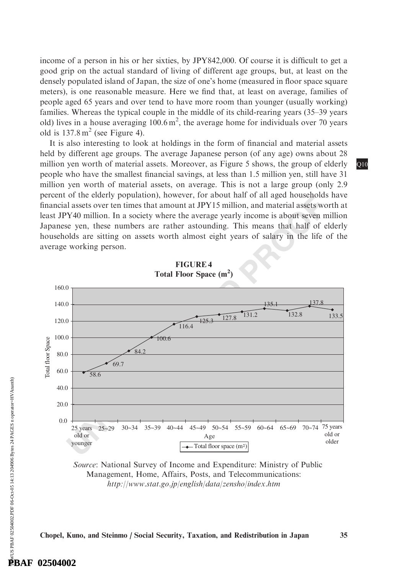income of a person in his or her sixties, by JPY842,000. Of course it is difficult to get a good grip on the actual standard of living of different age groups, but, at least on the densely populated island of Japan, the size of one's home (measured in floor space square meters), is one reasonable measure. Here we find that, at least on average, families of people aged 65 years and over tend to have more room than younger (usually working) families. Whereas the typical couple in the middle of its child-rearing years (35–39 years old) lives in a house averaging  $100.6 \,\mathrm{m}^2$ , the average home for individuals over 70 years old is  $137.8 \text{ m}^2$  (see Figure 4).

It is also interesting to look at holdings in the form of financial and material assets held by different age groups. The average Japanese person (of any age) owns about 28 million yen worth of material assets. Moreover, as Figure 5 shows, the group of elderly people who have the smallest financial savings, at less than 1.5 million yen, still have 31 million yen worth of material assets, on average. This is not a large group (only 2.9 percent of the elderly population), however, for about half of all aged households have financial assets over ten times that amount at JPY15 million, and material assets worth at least JPY40 million. In a society where the average yearly income is about seven million Japanese yen, these numbers are rather astounding. This means that half of elderly households are sitting on assets worth almost eight years of salary in the life of the average working person.



FIGURE 4 Total Floor Space  $(m^2)$ 

Source: National Survey of Income and Expenditure: Ministry of Public Management, Home, Affairs, Posts, and Telecommunications: http://www.stat.go.jp/english/data/zensho/index.htm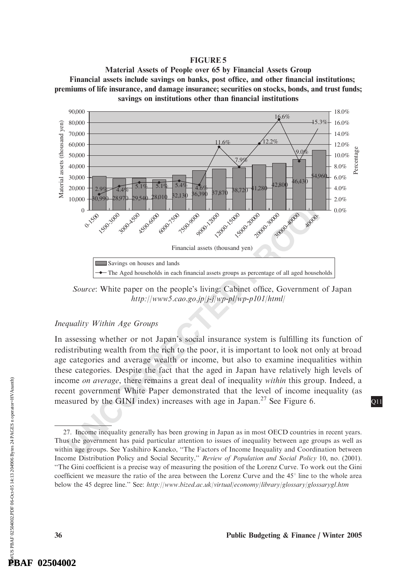#### FIGURE 5

Material Assets of People over 65 by Financial Assets Group Financial assets include savings on banks, post office, and other financial institutions; premiums of life insurance, and damage insurance; securities on stocks, bonds, and trust funds; savings on institutions other than financial institutions



Source: White paper on the people's living: Cabinet office, Government of Japan http://www5.cao.go.jp/j-j/wp-pl/wp-p101/html/

#### Inequality Within Age Groups

In assessing whether or not Japan's social insurance system is fulfilling its function of redistributing wealth from the rich to the poor, it is important to look not only at broad age categories and average wealth or income, but also to examine inequalities within these categories. Despite the fact that the aged in Japan have relatively high levels of income *on average*, there remains a great deal of inequality within this group. Indeed, a recent government White Paper demonstrated that the level of income inequality (as measured by the GINI index) increases with age in Japan.<sup>27</sup> See Figure 6.

<sup>27.</sup> Income inequality generally has been growing in Japan as in most OECD countries in recent years. Thus the government has paid particular attention to issues of inequality between age groups as well as within age groups. See Yashihiro Kaneko, ''The Factors of Income Inequality and Coordination between Income Distribution Policy and Social Security,'' Review of Population and Social Policy 10, no. (2001). ''The Gini coefficient is a precise way of measuring the position of the Lorenz Curve. To work out the Gini coefficient we measure the ratio of the area between the Lorenz Curve and the 45*1* line to the whole area below the 45 degree line." See: http://www.bized.ac.uk/virtual/economy/library/glossary/glossarygl.htm Franch Paparty Shirtles of the Conditions of the Conditions of the Conditions of the Conditions of the Conditions of the Conditions of the Conditions of the Conditions of the Conditions of the Conditions of the Conditions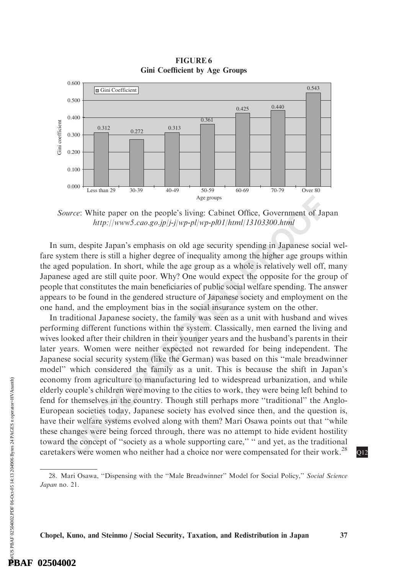

FIGURE 6 Gini Coefficient by Age Groups

Source: White paper on the people's living: Cabinet Office, Government of Japan http://www5.cao.go.jp/j-j/wp-pl/wp-pl01/html/13103300.html

In sum, despite Japan's emphasis on old age security spending in Japanese social welfare system there is still a higher degree of inequality among the higher age groups within the aged population. In short, while the age group as a whole is relatively well off, many Japanese aged are still quite poor. Why? One would expect the opposite for the group of people that constitutes the main beneficiaries of public social welfare spending. The answer appears to be found in the gendered structure of Japanese society and employment on the one hand, and the employment bias in the social insurance system on the other.

Age groups<br> *Age groups*<br> *Age groups*<br> *Http://www5.cao.go.jp/j-j/wp-pl/wp-pl01/html/13103300.html*<br> **Im,** despite Japan's emphasis on old age security spending in Japanese sociatem there is still a higher degree of inequ In traditional Japanese society, the family was seen as a unit with husband and wives performing different functions within the system. Classically, men earned the living and wives looked after their children in their younger years and the husband's parents in their later years. Women were neither expected not rewarded for being independent. The Japanese social security system (like the German) was based on this ''male breadwinner model'' which considered the family as a unit. This is because the shift in Japan's economy from agriculture to manufacturing led to widespread urbanization, and while elderly couple's children were moving to the cities to work, they were being left behind to fend for themselves in the country. Though still perhaps more ''traditional'' the Anglo-European societies today, Japanese society has evolved since then, and the question is, have their welfare systems evolved along with them? Mari Osawa points out that ''while these changes were being forced through, there was no attempt to hide evident hostility toward the concept of ''society as a whole supporting care,'' '' and yet, as the traditional caretakers were women who neither had a choice nor were compensated for their work.<sup>28</sup> **PERAF 02504002**<br>
PERAF 02504002<br>
PERAF 02504002

Chopel, Kuno, and Steinmo / Social Security, Taxation, and Redistribution in Japan 37

<sup>28.</sup> Mari Osawa, ''Dispensing with the ''Male Breadwinner'' Model for Social Policy,'' Social Science Japan no. 21.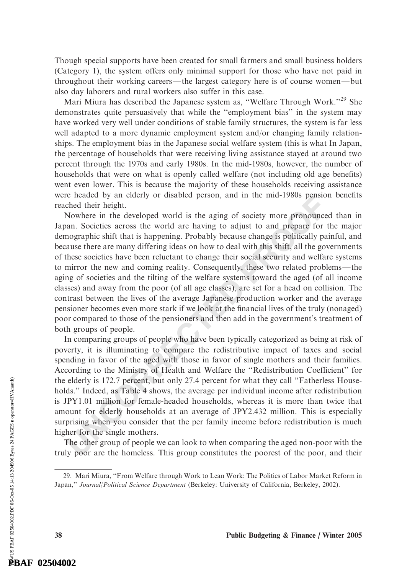Though special supports have been created for small farmers and small business holders (Category 1), the system offers only minimal support for those who have not paid in throughout their working careers—the largest category here is of course women—but also day laborers and rural workers also suffer in this case.

Mari Miura has described the Japanese system as, "Welfare Through Work."<sup>29</sup> She demonstrates quite persuasively that while the ''employment bias'' in the system may have worked very well under conditions of stable family structures, the system is far less well adapted to a more dynamic employment system and/or changing family relationships. The employment bias in the Japanese social welfare system (this is what In Japan, the percentage of households that were receiving living assistance stayed at around two percent through the 1970s and early 1980s. In the mid-1980s, however, the number of households that were on what is openly called welfare (not including old age benefits) went even lower. This is because the majority of these households receiving assistance were headed by an elderly or disabled person, and in the mid-1980s pension benefits reached their height.

r leaded by an edepty of usabled person, and in the inter-1980s person<br>ched their height.<br>Nowhere in the developed world are having to adjust to and prepare for reaction.<br>Nowhere in the developed world are having to adjust Nowhere in the developed world is the aging of society more pronounced than in Japan. Societies across the world are having to adjust to and prepare for the major demographic shift that is happening. Probably because change is politically painful, and because there are many differing ideas on how to deal with this shift, all the governments of these societies have been reluctant to change their social security and welfare systems to mirror the new and coming reality. Consequently, these two related problems—the aging of societies and the tilting of the welfare systems toward the aged (of all income classes) and away from the poor (of all age classes), are set for a head on collision. The contrast between the lives of the average Japanese production worker and the average pensioner becomes even more stark if we look at the financial lives of the truly (nonaged) poor compared to those of the pensioners and then add in the government's treatment of both groups of people.

In comparing groups of people who have been typically categorized as being at risk of poverty, it is illuminating to compare the redistributive impact of taxes and social spending in favor of the aged with those in favor of single mothers and their families. According to the Ministry of Health and Welfare the ''Redistribution Coefficient'' for the elderly is 172.7 percent, but only 27.4 percent for what they call ''Fatherless Households.'' Indeed, as Table 4 shows, the average per individual income after redistribution is JPY1.01 million for female-headed households, whereas it is more than twice that amount for elderly households at an average of JPY2.432 million. This is especially surprising when you consider that the per family income before redistribution is much higher for the single mothers. the elc<br>
holds.<br> **PPAF 02504002**<br> **PBAF 02504002**<br>
PPAF 02504002

The other group of people we can look to when comparing the aged non-poor with the truly poor are the homeless. This group constitutes the poorest of the poor, and their

<sup>29.</sup> Mari Miura, ''From Welfare through Work to Lean Work: The Politics of Labor Market Reform in Japan," Journal/Political Science Department (Berkeley: University of California, Berkeley, 2002).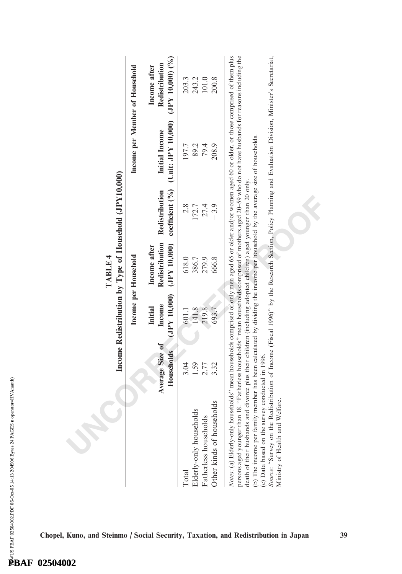|                                                                                                                                                                                                                                                                                                                                                                                                                                                                                                                                                                                                                                                                                              |                               |                                  | TABLE 4                                       |                                                        |                                                                                                                               |                                                      |
|----------------------------------------------------------------------------------------------------------------------------------------------------------------------------------------------------------------------------------------------------------------------------------------------------------------------------------------------------------------------------------------------------------------------------------------------------------------------------------------------------------------------------------------------------------------------------------------------------------------------------------------------------------------------------------------------|-------------------------------|----------------------------------|-----------------------------------------------|--------------------------------------------------------|-------------------------------------------------------------------------------------------------------------------------------|------------------------------------------------------|
|                                                                                                                                                                                                                                                                                                                                                                                                                                                                                                                                                                                                                                                                                              |                               |                                  | Income per Household                          | Income Redistribution by Type of Household (JPY10,000) | Income per Member of Household                                                                                                |                                                      |
|                                                                                                                                                                                                                                                                                                                                                                                                                                                                                                                                                                                                                                                                                              | Average Size of<br>Households | (JPY10,000)<br>Income<br>Initial | Redistribution<br>(JPY10,000)<br>Income after | coefficient (%)<br>Redistribution                      | (Unit: JPY 10,000)<br>Initial Income                                                                                          | $(3PY10,000)$ $(%$<br>Redistribution<br>Income after |
| S<br>Elderly-only household<br>Total                                                                                                                                                                                                                                                                                                                                                                                                                                                                                                                                                                                                                                                         | 3.04<br>1.59                  | 141.8<br>601.1                   | 618.0<br>386.7                                | 2.8<br>172.7                                           | 197.7<br>89.2                                                                                                                 | 203.3<br>243.2                                       |
| Other kinds of households<br>Fatherless households                                                                                                                                                                                                                                                                                                                                                                                                                                                                                                                                                                                                                                           | 3.32<br>2.77                  | 693.7<br>219.8                   | 279.9<br>666.8                                | $-3.9$<br>27.4                                         | 208.9<br>79.4                                                                                                                 | 200.8<br>$101.0$                                     |
| Notes: (a) Elderly-only households" mean households comprised of only men aged 65 or older and/or women aged 60 or older, or those comprised of them plus<br>Source: "Survey on the Redistribution of Income (Fiscal 1996)" by the Research Section, Policy Planning and Evaluation Division, Minister's Secretariat,<br>(b) The income per family member has been calculated by dividing the income per household by the average size of households.<br>death of their husbands and divorce plus their children (including adopted children) aged younger than 20 only<br>(c) Data based on the survey conducted in 1996.<br>Ministry of Health and Welfare.<br>persons aged younger than 1 |                               |                                  |                                               |                                                        | 8. "Fatherless households" mean households comprised of mothers aged 20–59 who do not have husbands for reasons including the |                                                      |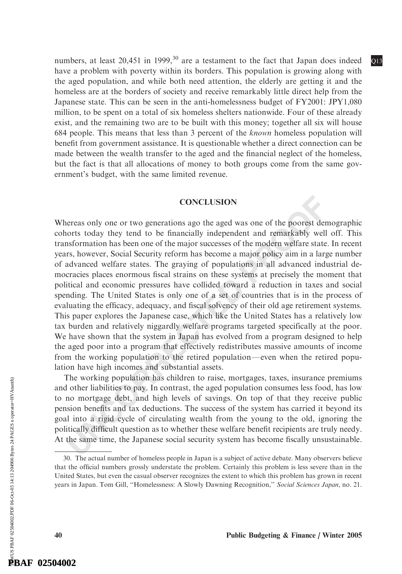numbers, at least  $20,451$  in 1999,<sup>30</sup> are a testament to the fact that Japan does indeed have a problem with poverty within its borders. This population is growing along with the aged population, and while both need attention, the elderly are getting it and the homeless are at the borders of society and receive remarkably little direct help from the Japanese state. This can be seen in the anti-homelessness budget of FY2001: JPY1,080 million, to be spent on a total of six homeless shelters nationwide. Four of these already exist, and the remaining two are to be built with this money; together all six will house 684 people. This means that less than 3 percent of the known homeless population will benefit from government assistance. It is questionable whether a direct connection can be made between the wealth transfer to the aged and the financial neglect of the homeless, but the fact is that all allocations of money to both groups come from the same government's budget, with the same limited revenue.

#### **CONCLUSION**

**CONCLUSION**<br> **CONCLUSION**<br> **CONCLUSION**<br> **CONCLUSION**<br> **CONCLUSION**<br> **CONCLUSION**<br> **UNERGONG TO THE CONSTANGE TO THE CONSTANGE TO THE CONSTANGE TO THE CONSTANGE TO THE CONSTANGENT OF THE CONSTANGENCIAL CONSTANG TO THE CON** Whereas only one or two generations ago the aged was one of the poorest demographic cohorts today they tend to be financially independent and remarkably well off. This transformation has been one of the major successes of the modern welfare state. In recent years, however, Social Security reform has become a major policy aim in a large number of advanced welfare states. The graying of populations in all advanced industrial democracies places enormous fiscal strains on these systems at precisely the moment that political and economic pressures have collided toward a reduction in taxes and social spending. The United States is only one of a set of countries that is in the process of evaluating the efficacy, adequacy, and fiscal solvency of their old age retirement systems. This paper explores the Japanese case, which like the United States has a relatively low tax burden and relatively niggardly welfare programs targeted specifically at the poor. We have shown that the system in Japan has evolved from a program designed to help the aged poor into a program that effectively redistributes massive amounts of income from the working population to the retired population—even when the retired population have high incomes and substantial assets.

The working population has children to raise, mortgages, taxes, insurance premiums and other liabilities to pay. In contrast, the aged population consumes less food, has low to no mortgage debt, and high levels of savings. On top of that they receive public pension benefits and tax deductions. The success of the system has carried it beyond its goal into a rigid cycle of circulating wealth from the young to the old, ignoring the politically difficult question as to whether these welfare benefit recipients are truly needy. At the same time, the Japanese social security system has become fiscally unsustainable. Framestry Art and ot<br>
and ot<br>
pension<br>
goal in<br>
goal in<br>
politic<br>
At the<br>
30.<br>
that the<br>
United<br>
years in<br>
United<br>
years in<br> **PDAF 02504002** 

<sup>30.</sup> The actual number of homeless people in Japan is a subject of active debate. Many observers believe that the official numbers grossly understate the problem. Certainly this problem is less severe than in the United States, but even the casual observer recognizes the extent to which this problem has grown in recent years in Japan. Tom Gill, "Homelessness: A Slowly Dawning Recognition," Social Sciences Japan, no. 21.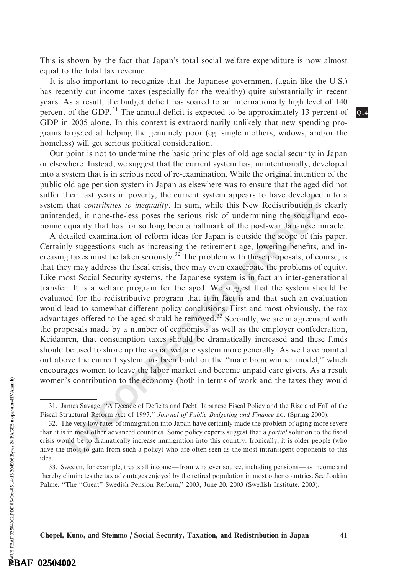This is shown by the fact that Japan's total social welfare expenditure is now almost equal to the total tax revenue.

It is also important to recognize that the Japanese government (again like the U.S.) has recently cut income taxes (especially for the wealthy) quite substantially in recent years. As a result, the budget deficit has soared to an internationally high level of 140 percent of the GDP.<sup>31</sup> The annual deficit is expected to be approximately 13 percent of GDP in 2005 alone. In this context is extraordinarily unlikely that new spending programs targeted at helping the genuinely poor (eg. single mothers, widows, and/or the homeless) will get serious political consideration.

Our point is not to undermine the basic principles of old age social security in Japan or elsewhere. Instead, we suggest that the current system has, unintentionally, developed into a system that is in serious need of re-examination. While the original intention of the public old age pension system in Japan as elsewhere was to ensure that the aged did not suffer their last years in poverty, the current system appears to have developed into a system that *contributes to inequality*. In sum, while this New Redistribution is clearly unintended, it none-the-less poses the serious risk of undermining the social and economic equality that has for so long been a hallmark of the post-war Japanese miracle.

Hen Task years in poverly, the Curtlent system appears to that *entributes to inequality*. In sum, while this New Redistribution is clearly that *tontributes to inequality*. In sum, while this New Redistribution is clear, A detailed examination of reform ideas for Japan is outside the scope of this paper. Certainly suggestions such as increasing the retirement age, lowering benefits, and increasing taxes must be taken seriously.<sup>32</sup> The problem with these proposals, of course, is that they may address the fiscal crisis, they may even exacerbate the problems of equity. Like most Social Security systems, the Japanese system is in fact an inter-generational transfer: It is a welfare program for the aged. We suggest that the system should be evaluated for the redistributive program that it in fact is and that such an evaluation would lead to somewhat different policy conclusions. First and most obviously, the tax advantages offered to the aged should be removed.<sup>33</sup> Secondly, we are in agreement with the proposals made by a number of economists as well as the employer confederation, Keidanren, that consumption taxes should be dramatically increased and these funds should be used to shore up the social welfare system more generally. As we have pointed out above the current system has been build on the ''male breadwinner model,'' which encourages women to leave the labor market and become unpaid care givers. As a result women's contribution to the economy (both in terms of work and the taxes they would

<sup>31.</sup> James Savage, ''A Decade of Deficits and Debt: Japanese Fiscal Policy and the Rise and Fall of the Fiscal Structural Reform Act of 1997,'' Journal of Public Budgeting and Finance no. (Spring 2000).

<sup>32.</sup> The very low rates of immigration into Japan have certainly made the problem of aging more severe than it is in most other advanced countries. Some policy experts suggest that a *partial* solution to the fiscal crisis would be to dramatically increase immigration into this country. Ironically, it is older people (who have the most to gain from such a policy) who are often seen as the most intransigent opponents to this idea. Women's c<br>
Paper of the paper of the paper of the paper of the paper of the paper of the paper of the paper of the paper of the paper of the paper of the paper of the paper of the paper of the paper of the paper of the pap

<sup>33.</sup> Sweden, for example, treats all income—from whatever source, including pensions—as income and thereby eliminates the tax advantages enjoyed by the retired population in most other countries. See Joakim Palme, "The "Great" Swedish Pension Reform," 2003, June 20, 2003 (Swedish Institute, 2003).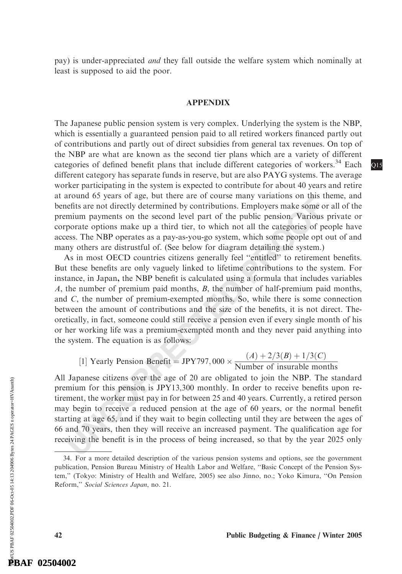pay) is under-appreciated *and* they fall outside the welfare system which nominally at least is supposed to aid the poor.

### APPENDIX

The Japanese public pension system is very complex. Underlying the system is the NBP, which is essentially a guaranteed pension paid to all retired workers financed partly out of contributions and partly out of direct subsidies from general tax revenues. On top of the NBP are what are known as the second tier plans which are a variety of different categories of defined benefit plans that include different categories of workers.<sup>34</sup> Each different category has separate funds in reserve, but are also PAYG systems. The average worker participating in the system is expected to contribute for about 40 years and retire at around 65 years of age, but there are of course many variations on this theme, and benefits are not directly determined by contributions. Employers make some or all of the premium payments on the second level part of the public pension. Various private or corporate options make up a third tier, to which not all the categories of people have access. The NBP operates as a pay-as-you-go system, which some people opt out of and many others are distrustful of. (See below for diagram detailing the system.)

around to years or age, but there are or course many variations on this true<br>effits are not directly determined by contributions. Employers make some on<br>mium payments on the second level part of the public pension. Variou As in most OECD countries citizens generally feel ''entitled'' to retirement benefits. But these benefits are only vaguely linked to lifetime contributions to the system. For instance, in Japan, the NBP benefit is calculated using a formula that includes variables A, the number of premium paid months, B, the number of half-premium paid months, and C, the number of premium-exempted months. So, while there is some connection between the amount of contributions and the size of the benefits, it is not direct. Theoretically, in fact, someone could still receive a pension even if every single month of his or her working life was a premium-exempted month and they never paid anything into the system. The equation is as follows:

[1] Yearly pension Benefit = JPY797,000 
$$
\times \frac{(A) + 2/3(B) + 1/3(C)}{\text{Number of insurable months}}
$$

All Japanese citizens over the age of 20 are obligated to join the NBP. The standard premium for this pension is JPY13,300 monthly. In order to receive benefits upon retirement, the worker must pay in for between 25 and 40 years. Currently, a retired person may begin to receive a reduced pension at the age of 60 years, or the normal benefit starting at age 65, and if they wait to begin collecting until they are between the ages of 66 and 70 years, then they will receive an increased payment. The qualification age for receiving the benefit is in the process of being increased, so that by the year 2025 only For a property of the property of the property of the may be start in the may be start in the may be start in the may be start in the may be start in the may be start in the may be start in the may consider  $\frac{1}{2}$  and

<sup>34.</sup> For a more detailed description of the various pension systems and options, see the government publication, Pension Bureau Ministry of Health Labor and Welfare, ''Basic Concept of the Pension System,'' (Tokyo: Ministry of Health and Welfare, 2005) see also Jinno, no.; Yoko Kimura, ''On Pension Reform,'' Social Sciences Japan, no. 21.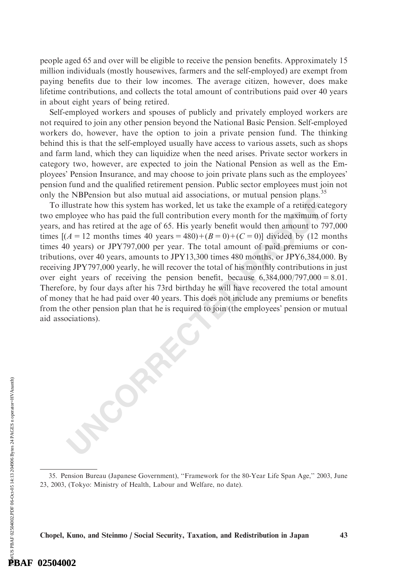people aged 65 and over will be eligible to receive the pension benefits. Approximately 15 million individuals (mostly housewives, farmers and the self-employed) are exempt from paying benefits due to their low incomes. The average citizen, however, does make lifetime contributions, and collects the total amount of contributions paid over 40 years in about eight years of being retired.

Self-employed workers and spouses of publicly and privately employed workers are not required to join any other pension beyond the National Basic Pension. Self-employed workers do, however, have the option to join a private pension fund. The thinking behind this is that the self-employed usually have access to various assets, such as shops and farm land, which they can liquidize when the need arises. Private sector workers in category two, however, are expected to join the National Pension as well as the Employees' Pension Insurance, and may choose to join private plans such as the employees' pension fund and the qualified retirement pension. Public sector employees must join not only the NBPension but also mutual aid associations, or mutual pension plans.<sup>35</sup>

**EXECTIVE TO THE SET ASSOCIATES** where a associations, or initial peasible plats.<br> **UNCORRECTED TO THE SET ASSOCIATES** and a solution of the maximum of a has retired at the age of 65. His yearly benefit would then amount t To illustrate how this system has worked, let us take the example of a retired category two employee who has paid the full contribution every month for the maximum of forty years, and has retired at the age of 65. His yearly benefit would then amount to 797,000 times  $[(A = 12 \text{ months times } 40 \text{ years } = 480)+(B = 0)+(C = 0)]$  divided by (12 months times 40 years) or JPY797,000 per year. The total amount of paid premiums or contributions, over 40 years, amounts to JPY13,300 times 480 months, or JPY6,384,000. By receiving JPY797,000 yearly, he will recover the total of his monthly contributions in just over eight years of receiving the pension benefit, because  $6,384,000/797,000 = 8.01$ . Therefore, by four days after his 73rd birthday he will have recovered the total amount of money that he had paid over 40 years. This does not include any premiums or benefits from the other pension plan that he is required to join (the employees' pension or mutual aid associations).

<sup>35.</sup> Pension Bureau (Japanese Government), ''Framework for the 80-Year Life Span Age,'' 2003, June 23, 2003, (Tokyo: Ministry of Health, Labour and Welfare, no date).